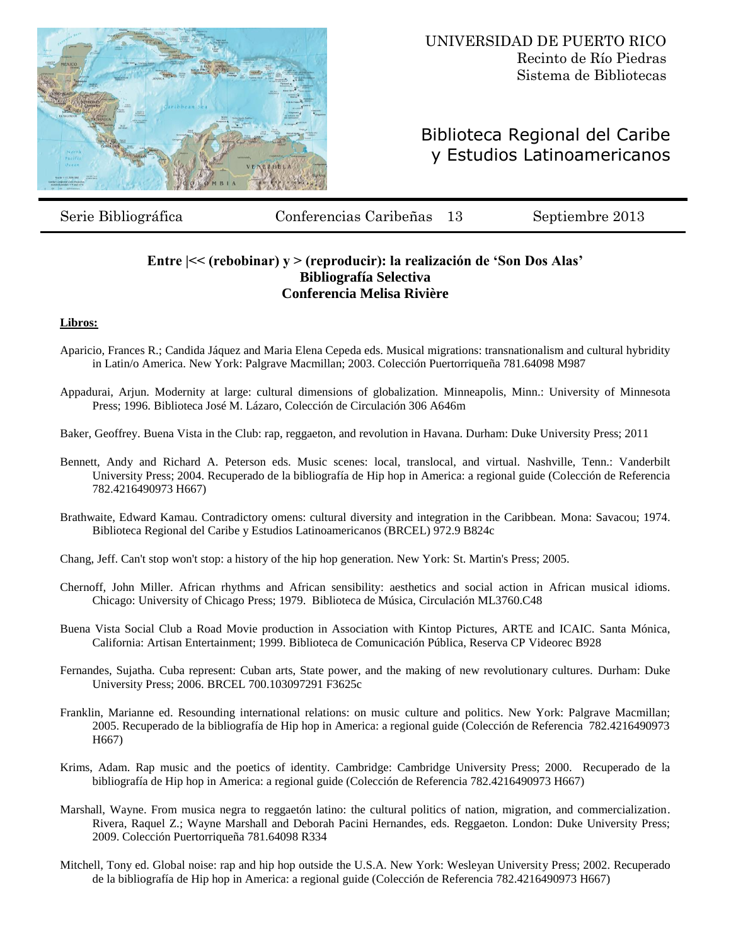

# Biblioteca Regional del Caribe y Estudios Latinoamericanos

Serie Bibliográfica Conferencias Caribeñas 13 Septiembre 2013

## **Entre |<< (rebobinar) y > (reproducir): la realización de 'Son Dos Alas' Bibliografía Selectiva Conferencia Melisa Rivière**

### **Libros:**

- Aparicio, Frances R.; Candida Jáquez and Maria Elena Cepeda eds. Musical migrations: transnationalism and cultural hybridity in Latin/o America. New York: Palgrave Macmillan; 2003. Colección Puertorriqueña 781.64098 M987
- Appadurai, Arjun. Modernity at large: cultural dimensions of globalization. Minneapolis, Minn.: University of Minnesota Press; 1996. Biblioteca José M. Lázaro, Colección de Circulación 306 A646m
- Baker, Geoffrey. Buena Vista in the Club: rap, reggaeton, and revolution in Havana. Durham: Duke University Press; 2011
- Bennett, Andy and Richard A. Peterson eds. Music scenes: local, translocal, and virtual. Nashville, Tenn.: Vanderbilt University Press; 2004. Recuperado de la bibliografía de Hip hop in America: a regional guide (Colección de Referencia 782.4216490973 H667)
- Brathwaite, Edward Kamau. Contradictory omens: cultural diversity and integration in the Caribbean. Mona: Savacou; 1974. Biblioteca Regional del Caribe y Estudios Latinoamericanos (BRCEL) 972.9 B824c
- Chang, Jeff. Can't stop won't stop: a history of the hip hop generation. New York: St. Martin's Press; 2005.
- Chernoff, John Miller. African rhythms and African sensibility: aesthetics and social action in African musical idioms. Chicago: University of Chicago Press; 1979. Biblioteca de Música, Circulación ML3760.C48
- Buena Vista Social Club a Road Movie production in Association with Kintop Pictures, ARTE and ICAIC. Santa Mónica, California: Artisan Entertainment; 1999. Biblioteca de Comunicación Pública, Reserva CP Videorec B928
- Fernandes, Sujatha. Cuba represent: Cuban arts, State power, and the making of new revolutionary cultures. Durham: Duke University Press; 2006. BRCEL 700.103097291 F3625c
- Franklin, Marianne ed. Resounding international relations: on music culture and politics. New York: Palgrave Macmillan; 2005. Recuperado de la bibliografía de Hip hop in America: a regional guide (Colección de Referencia 782.4216490973 H667)
- Krims, Adam. Rap music and the poetics of identity. Cambridge: Cambridge University Press; 2000. Recuperado de la bibliografía de Hip hop in America: a regional guide (Colección de Referencia 782.4216490973 H667)
- Marshall, Wayne. From musica negra to reggaetón latino: the cultural politics of nation, migration, and commercialization. Rivera, Raquel Z.; Wayne Marshall and Deborah Pacini Hernandes, eds. Reggaeton. London: Duke University Press; 2009. Colección Puertorriqueña 781.64098 R334
- Mitchell, Tony ed. Global noise: rap and hip hop outside the U.S.A. New York: Wesleyan University Press; 2002. Recuperado de la bibliografía de Hip hop in America: a regional guide (Colección de Referencia 782.4216490973 H667)